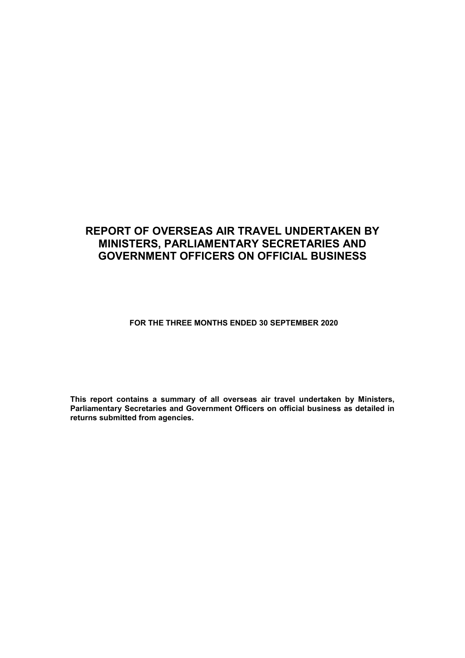### **REPORT OF OVERSEAS AIR TRAVEL UNDERTAKEN BY MINISTERS, PARLIAMENTARY SECRETARIES AND GOVERNMENT OFFICERS ON OFFICIAL BUSINESS**

**FOR THE THREE MONTHS ENDED 30 SEPTEMBER 2020**

**This report contains a summary of all overseas air travel undertaken by Ministers, Parliamentary Secretaries and Government Officers on official business as detailed in returns submitted from agencies.**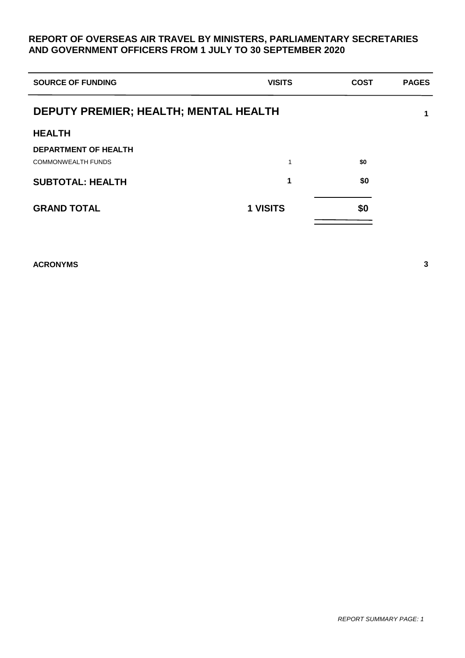### **REPORT OF OVERSEAS AIR TRAVEL BY MINISTERS, PARLIAMENTARY SECRETARIES AND GOVERNMENT OFFICERS FROM 1 JULY TO 30 SEPTEMBER 2020**

| <b>SOURCE OF FUNDING</b>              | <b>VISITS</b> | <b>COST</b> | <b>PAGES</b> |  |  |  |  |  |
|---------------------------------------|---------------|-------------|--------------|--|--|--|--|--|
| DEPUTY PREMIER; HEALTH; MENTAL HEALTH |               |             |              |  |  |  |  |  |
| <b>HEALTH</b>                         |               |             |              |  |  |  |  |  |
| <b>DEPARTMENT OF HEALTH</b>           |               |             |              |  |  |  |  |  |
| <b>COMMONWEALTH FUNDS</b>             | 1             | \$0         |              |  |  |  |  |  |
| <b>SUBTOTAL: HEALTH</b>               | 1             | \$0         |              |  |  |  |  |  |
| <b>GRAND TOTAL</b>                    | 1 VISITS      | \$0         |              |  |  |  |  |  |

**ACRONYMS 3**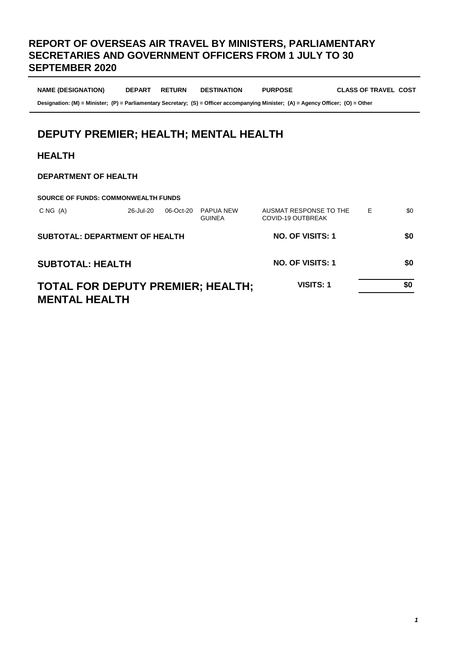### **REPORT OF OVERSEAS AIR TRAVEL BY MINISTERS, PARLIAMENTARY SECRETARIES AND GOVERNMENT OFFICERS FROM 1 JULY TO 30 SEPTEMBER 2020**

**NAME (DESIGNATION) DEPART RETURN DESTINATION PURPOSE CLASS OF TRAVEL COST** 

**Designation: (M) = Minister; (P) = Parliamentary Secretary; (S) = Officer accompanying Minister; (A) = Agency Officer; (O) = Other**

## **DEPUTY PREMIER; HEALTH; MENTAL HEALTH**

#### **HEALTH**

#### **DEPARTMENT OF HEALTH**

| <b>SOURCE OF FUNDS: COMMONWEALTH FUNDS</b>                       |           |           |                                   |                                             |   |     |
|------------------------------------------------------------------|-----------|-----------|-----------------------------------|---------------------------------------------|---|-----|
| CNG(A)                                                           | 26-Jul-20 | 06-Oct-20 | <b>PAPUA NEW</b><br><b>GUINEA</b> | AUSMAT RESPONSE TO THE<br>COVID-19 OUTBREAK | Е | \$0 |
| <b>SUBTOTAL: DEPARTMENT OF HEALTH</b>                            |           |           |                                   | NO. OF VISITS: 1                            |   | \$0 |
| <b>SUBTOTAL: HEALTH</b>                                          |           |           |                                   | NO. OF VISITS: 1                            |   | SO. |
| <b>TOTAL FOR DEPUTY PREMIER; HEALTH;</b><br><b>MENTAL HEALTH</b> |           | VISITS: 1 |                                   | \$0                                         |   |     |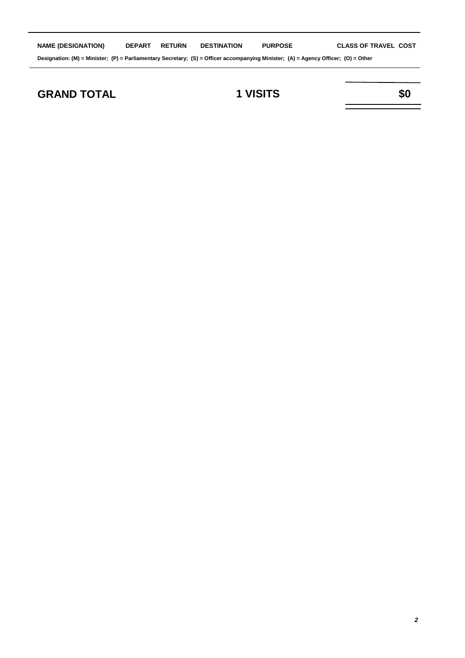| <b>NAME (DESIGNATION)</b>                                                                                                          | <b>DEPART</b> | <b>RETURN</b> | <b>DESTINATION</b> | <b>PURPOSE</b> | <b>CLASS OF TRAVEL COST</b> |  |
|------------------------------------------------------------------------------------------------------------------------------------|---------------|---------------|--------------------|----------------|-----------------------------|--|
| Designation: (M) = Minister; (P) = Parliamentary Secretary; (S) = Officer accompanying Minister; (A) = Agency Officer; (O) = Other |               |               |                    |                |                             |  |

## **GRAND TOTAL 1 VISITS \$0**